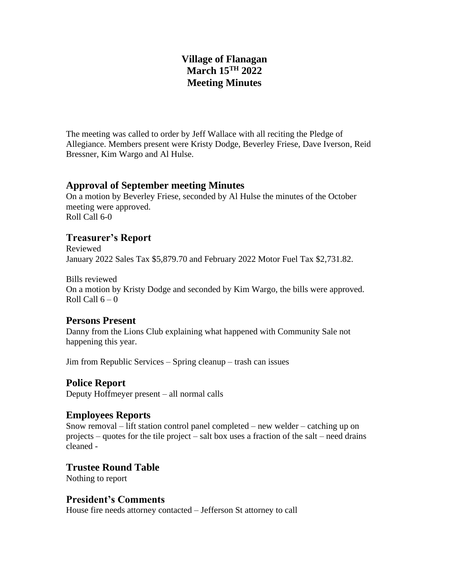# **Village of Flanagan March 15TH 2022 Meeting Minutes**

The meeting was called to order by Jeff Wallace with all reciting the Pledge of Allegiance. Members present were Kristy Dodge, Beverley Friese, Dave Iverson, Reid Bressner, Kim Wargo and Al Hulse.

## **Approval of September meeting Minutes**

On a motion by Beverley Friese, seconded by Al Hulse the minutes of the October meeting were approved. Roll Call 6-0

# **Treasurer's Report**

Reviewed January 2022 Sales Tax \$5,879.70 and February 2022 Motor Fuel Tax \$2,731.82.

Bills reviewed On a motion by Kristy Dodge and seconded by Kim Wargo, the bills were approved. Roll Call  $6 - 0$ 

## **Persons Present**

Danny from the Lions Club explaining what happened with Community Sale not happening this year.

Jim from Republic Services – Spring cleanup – trash can issues

## **Police Report**

Deputy Hoffmeyer present – all normal calls

### **Employees Reports**

Snow removal – lift station control panel completed – new welder – catching up on projects – quotes for the tile project – salt box uses a fraction of the salt – need drains cleaned -

## **Trustee Round Table**

Nothing to report

## **President's Comments**

House fire needs attorney contacted – Jefferson St attorney to call